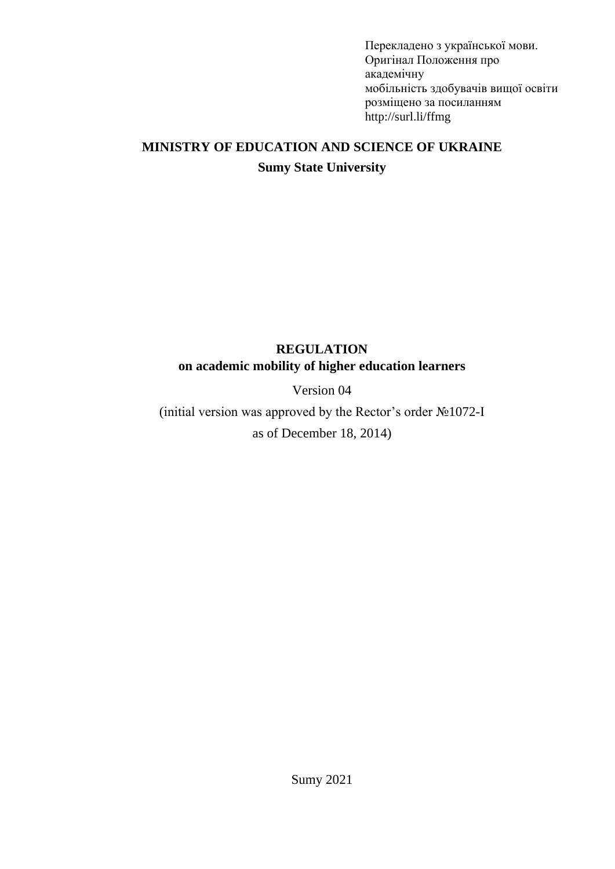Перекладено з української мови. Оригінал Положення про академічну мобільність здобувачів вищої освіти розміщено за посиланням http://surl.li/ffmg

# **MINISTRY OF EDUCATION AND SCIENCE OF UKRAINE Sumy State University**

## **REGULATION on academic mobility of higher education learners**

## Version 04

(initial version was approved by the Rector's order №1072-І as of December 18, 2014)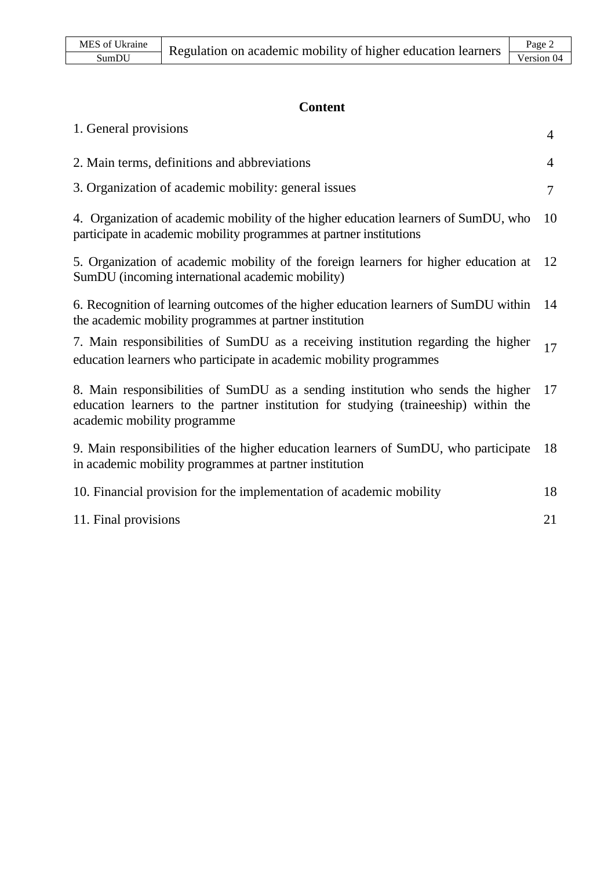# **Content**

| 1. General provisions                                                                                                                                                                                 | $\overline{4}$ |
|-------------------------------------------------------------------------------------------------------------------------------------------------------------------------------------------------------|----------------|
| 2. Main terms, definitions and abbreviations                                                                                                                                                          | $\overline{4}$ |
| 3. Organization of academic mobility: general issues                                                                                                                                                  | $\tau$         |
| 4. Organization of academic mobility of the higher education learners of SumDU, who<br>participate in academic mobility programmes at partner institutions                                            | 10             |
| 5. Organization of academic mobility of the foreign learners for higher education at<br>SumDU (incoming international academic mobility)                                                              | 12             |
| 6. Recognition of learning outcomes of the higher education learners of SumDU within<br>the academic mobility programmes at partner institution                                                       | 14             |
| 7. Main responsibilities of SumDU as a receiving institution regarding the higher<br>education learners who participate in academic mobility programmes                                               | 17             |
| 8. Main responsibilities of SumDU as a sending institution who sends the higher<br>education learners to the partner institution for studying (traineeship) within the<br>academic mobility programme | 17             |
| 9. Main responsibilities of the higher education learners of SumDU, who participate<br>in academic mobility programmes at partner institution                                                         | 18             |
| 10. Financial provision for the implementation of academic mobility                                                                                                                                   | 18             |
| 11. Final provisions                                                                                                                                                                                  | 21             |
|                                                                                                                                                                                                       |                |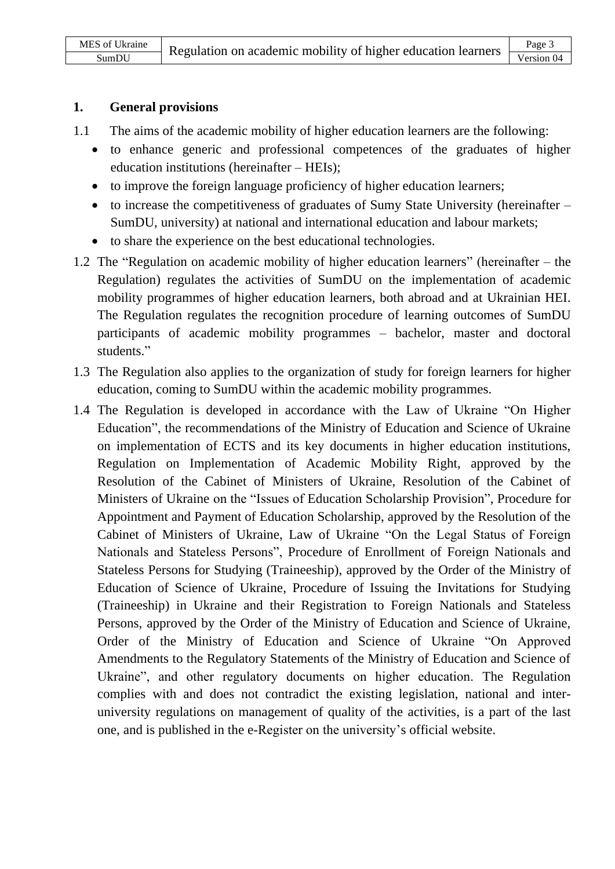#### **1. General provisions**

- 1.1 The aims of the academic mobility of higher education learners are the following:
	- to enhance generic and professional competences of the graduates of higher education institutions (hereinafter – HEIs);
	- to improve the foreign language proficiency of higher education learners;
	- to increase the competitiveness of graduates of Sumy State University (hereinafter SumDU, university) at national and international education and labour markets;
	- to share the experience on the best educational technologies.
- 1.2 The "Regulation on academic mobility of higher education learners" (hereinafter the Regulation) regulates the activities of SumDU on the implementation of academic mobility programmes of higher education learners, both abroad and at Ukrainian HEI. The Regulation regulates the recognition procedure of learning outcomes of SumDU participants of academic mobility programmes – bachelor, master and doctoral students."
- 1.3 The Regulation also applies to the organization of study for foreign learners for higher education, coming to SumDU within the academic mobility programmes.
- 1.4 The Regulation is developed in accordance with the Law of Ukraine "On Higher Education", the recommendations of the Ministry of Education and Science of Ukraine on implementation of ECTS and its key documents in higher education institutions, Regulation on Implementation of Academic Mobility Right, approved by the Resolution of the Cabinet of Ministers of Ukraine, Resolution of the Cabinet of Ministers of Ukraine on the "Issues of Education Scholarship Provision", Procedure for Appointment and Payment of Education Scholarship, approved by the Resolution of the Cabinet of Ministers of Ukraine, Law of Ukraine "On the Legal Status of Foreign Nationals and Stateless Persons", Procedure of Enrollment of Foreign Nationals and Stateless Persons for Studying (Traineeship), approved by the Order of the Ministry of Education of Science of Ukraine, Procedure of Issuing the Invitations for Studying (Traineeship) in Ukraine and their Registration to Foreign Nationals and Stateless Persons, approved by the Order of the Ministry of Education and Science of Ukraine, Order of the Ministry of Education and Science of Ukraine "On Approved Amendments to the Regulatory Statements of the Ministry of Education and Science of Ukraine", and other regulatory documents on higher education. The Regulation complies with and does not contradict the existing legislation, national and interuniversity regulations on management of quality of the activities, is a part of the last one, and is published in the e-Register on the university's official website.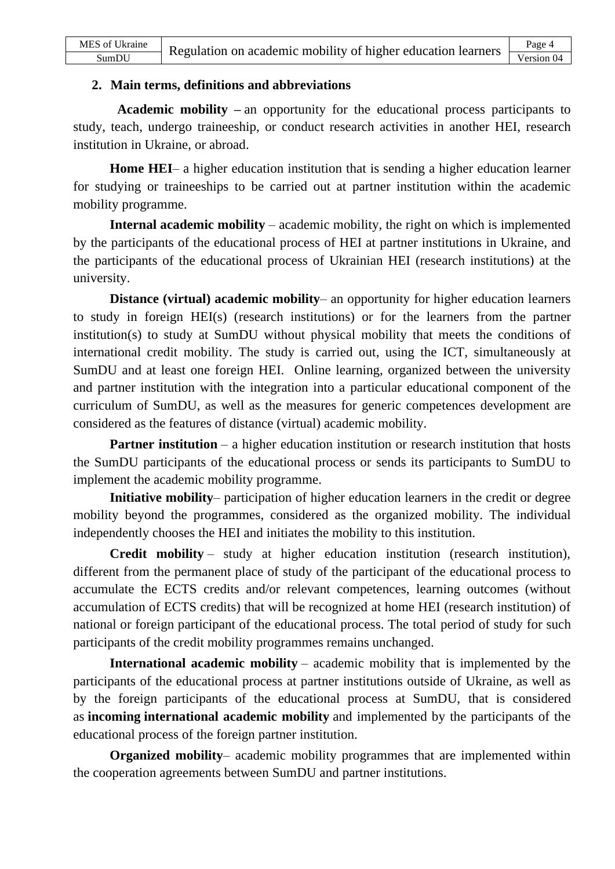#### **2. Main terms, definitions and abbreviations**

**Academic mobility –** an opportunity for the educational process participants to study, teach, undergo traineeship, or conduct research activities in another HEI, research institution in Ukraine, or abroad.

**Home HEI**– a higher education institution that is sending a higher education learner for studying or traineeships to be carried out at partner institution within the academic mobility programme.

**Internal academic mobility** – academic mobility, the right on which is implemented by the participants of the educational process of HEI at partner institutions in Ukraine, and the participants of the educational process of Ukrainian HEI (research institutions) at the university.

**Distance (virtual) academic mobility**– an opportunity for higher education learners to study in foreign HEI(s) (research institutions) or for the learners from the partner institution(s) to study at SumDU without physical mobility that meets the conditions of international credit mobility. The study is carried out, using the ICT, simultaneously at SumDU and at least one foreign HEI. Online learning, organized between the university and partner institution with the integration into a particular educational component of the curriculum of SumDU, as well as the measures for generic competences development are considered as the features of distance (virtual) academic mobility.

**Partner institution** – a higher education institution or research institution that hosts the SumDU participants of the educational process or sends its participants to SumDU to implement the academic mobility programme.

**Initiative mobility**– participation of higher education learners in the credit or degree mobility beyond the programmes, considered as the organized mobility. The individual independently chooses the HEI and initiates the mobility to this institution.

**Credit mobility** – study at higher education institution (research institution), different from the permanent place of study of the participant of the educational process to accumulate the ECTS credits and/or relevant competences, learning outcomes (without accumulation of ECTS credits) that will be recognized at home HEI (research institution) of national or foreign participant of the educational process. The total period of study for such participants of the credit mobility programmes remains unchanged.

**International academic mobility** – academic mobility that is implemented by the participants of the educational process at partner institutions outside of Ukraine, as well as by the foreign participants of the educational process at SumDU, that is considered as **incoming international academic mobility** and implemented by the participants of the educational process of the foreign partner institution.

**Organized mobility**– academic mobility programmes that are implemented within the cooperation agreements between SumDU and partner institutions.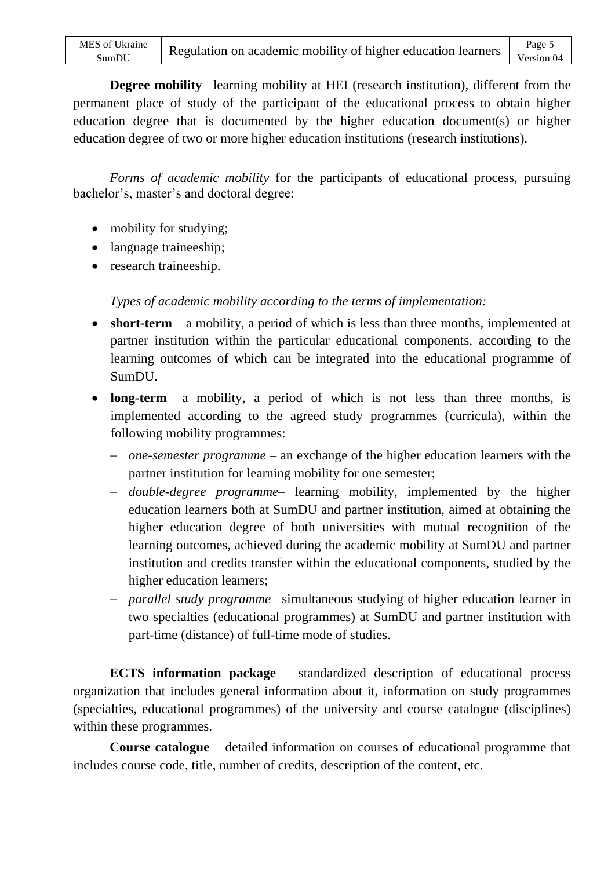**Degree mobility**– learning mobility at HEI (research institution), different from the permanent place of study of the participant of the educational process to obtain higher education degree that is documented by the higher education document(s) or higher education degree of two or more higher education institutions (research institutions).

*Forms of academic mobility* for the participants of educational process, pursuing bachelor's, master's and doctoral degree:

- mobility for studying;
- language traineeship;
- research traineeship.

#### *Types of academic mobility according to the terms of implementation:*

- **short-term** a mobility, a period of which is less than three months, implemented at partner institution within the particular educational components, according to the learning outcomes of which can be integrated into the educational programme of SumDU.
- **long-term** a mobility, a period of which is not less than three months, is implemented according to the agreed study programmes (curricula), within the following mobility programmes:
	- − *one-semester programme* an exchange of the higher education learners with the partner institution for learning mobility for one semester;
	- − *double-degree programme* learning mobility, implemented by the higher education learners both at SumDU and partner institution, aimed at obtaining the higher education degree of both universities with mutual recognition of the learning outcomes, achieved during the academic mobility at SumDU and partner institution and credits transfer within the educational components, studied by the higher education learners;
	- − *parallel study programme* simultaneous studying of higher education learner in two specialties (educational programmes) at SumDU and partner institution with part-time (distance) of full-time mode of studies.

**ECTS information package** – standardized description of educational process organization that includes general information about it, information on study programmes (specialties, educational programmes) of the university and course catalogue (disciplines) within these programmes.

**Course catalogue** – detailed information on courses of educational programme that includes course code, title, number of credits, description of the content, etc.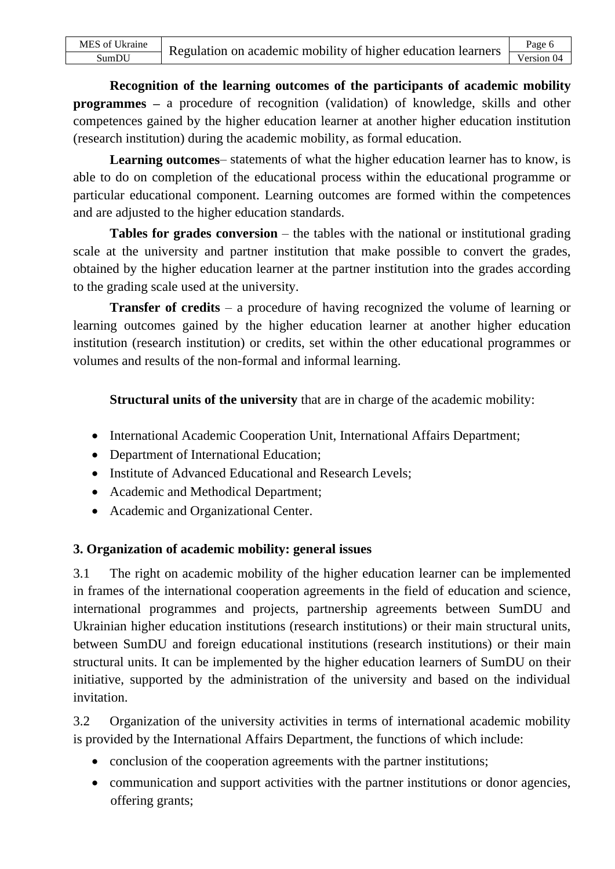**Recognition of the learning outcomes of the participants of academic mobility programmes** – a procedure of recognition (validation) of knowledge, skills and other competences gained by the higher education learner at another higher education institution (research institution) during the academic mobility, as formal education.

**Learning outcomes**– statements of what the higher education learner has to know, is able to do on completion of the educational process within the educational programme or particular educational component. Learning outcomes are formed within the competences and are adjusted to the higher education standards.

**Tables for grades conversion** – the tables with the national or institutional grading scale at the university and partner institution that make possible to convert the grades, obtained by the higher education learner at the partner institution into the grades according to the grading scale used at the university.

**Transfer of credits** – a procedure of having recognized the volume of learning or learning outcomes gained by the higher education learner at another higher education institution (research institution) or credits, set within the other educational programmes or volumes and results of the non-formal and informal learning.

**Structural units of the university** that are in charge of the academic mobility:

- International Academic Cooperation Unit, International Affairs Department;
- Department of International Education;
- Institute of Advanced Educational and Research Levels;
- Academic and Methodical Department:
- Academic and Organizational Center.

### **3. Organization of academic mobility: general issues**

3.1 The right on academic mobility of the higher education learner can be implemented in frames of the international cooperation agreements in the field of education and science, international programmes and projects, partnership agreements between SumDU and Ukrainian higher education institutions (research institutions) or their main structural units, between SumDU and foreign educational institutions (research institutions) or their main structural units. It can be implemented by the higher education learners of SumDU on their initiative, supported by the administration of the university and based on the individual invitation.

3.2 Organization of the university activities in terms of international academic mobility is provided by the International Affairs Department, the functions of which include:

- conclusion of the cooperation agreements with the partner institutions;
- communication and support activities with the partner institutions or donor agencies, offering grants;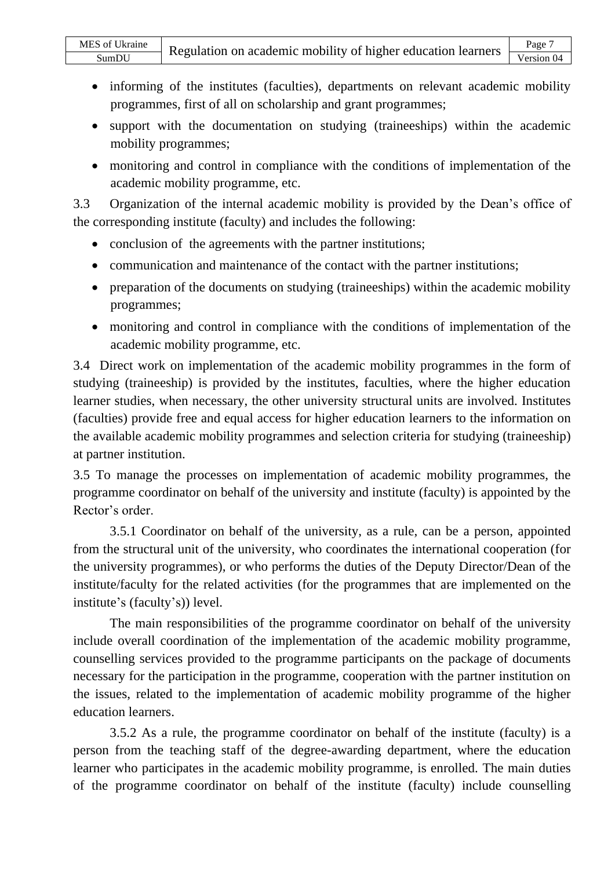- informing of the institutes (faculties), departments on relevant academic mobility programmes, first of all on scholarship and grant programmes;
- support with the documentation on studying (traineeships) within the academic mobility programmes;
- monitoring and control in compliance with the conditions of implementation of the academic mobility programme, etc.

3.3 Organization of the internal academic mobility is provided by the Dean's office of the corresponding institute (faculty) and includes the following:

- conclusion of the agreements with the partner institutions:
- communication and maintenance of the contact with the partner institutions;
- preparation of the documents on studying (traineeships) within the academic mobility programmes;
- monitoring and control in compliance with the conditions of implementation of the academic mobility programme, etc.

3.4 Direct work on implementation of the academic mobility programmes in the form of studying (traineeship) is provided by the institutes, faculties, where the higher education learner studies, when necessary, the other university structural units are involved. Institutes (faculties) provide free and equal access for higher education learners to the information on the available academic mobility programmes and selection criteria for studying (traineeship) at partner institution.

3.5 To manage the processes on implementation of academic mobility programmes, the programme coordinator on behalf of the university and institute (faculty) is appointed by the Rector's order.

3.5.1 Coordinator on behalf of the university, as a rule, can be a person, appointed from the structural unit of the university, who coordinates the international cooperation (for the university programmes), or who performs the duties of the Deputy Director/Dean of the institute/faculty for the related activities (for the programmes that are implemented on the institute's (faculty's)) level.

The main responsibilities of the programme coordinator on behalf of the university include overall coordination of the implementation of the academic mobility programme, counselling services provided to the programme participants on the package of documents necessary for the participation in the programme, cooperation with the partner institution on the issues, related to the implementation of academic mobility programme of the higher education learners.

3.5.2 As a rule, the programme coordinator on behalf of the institute (faculty) is a person from the teaching staff of the degree-awarding department, where the education learner who participates in the academic mobility programme, is enrolled. The main duties of the programme coordinator on behalf of the institute (faculty) include counselling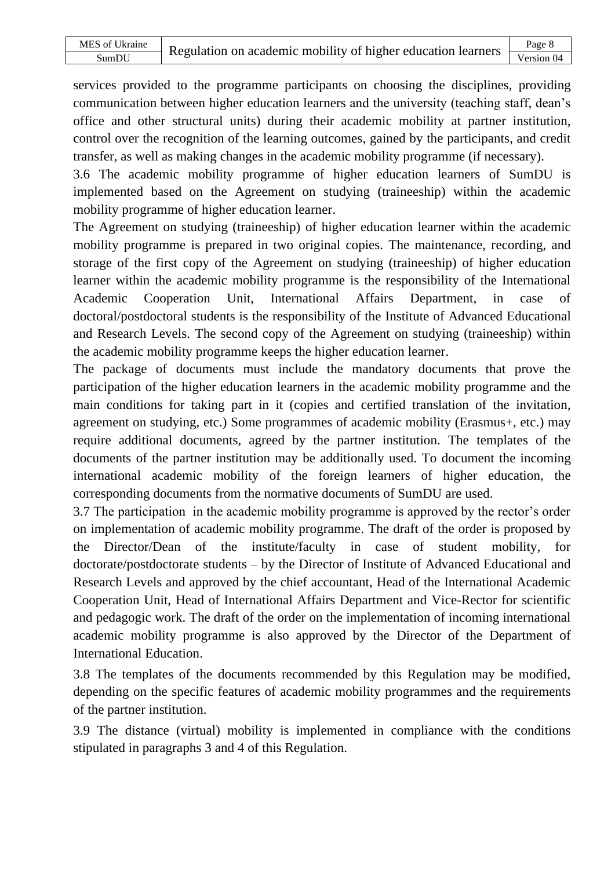services provided to the programme participants on choosing the disciplines, providing communication between higher education learners and the university (teaching staff, dean's office and other structural units) during their academic mobility at partner institution, control over the recognition of the learning outcomes, gained by the participants, and credit transfer, as well as making changes in the academic mobility programme (if necessary).

3.6 The academic mobility programme of higher education learners of SumDU is implemented based on the Agreement on studying (traineeship) within the academic mobility programme of higher education learner.

The Agreement on studying (traineeship) of higher education learner within the academic mobility programme is prepared in two original copies. The maintenance, recording, and storage of the first copy of the Agreement on studying (traineeship) of higher education learner within the academic mobility programme is the responsibility of the International Academic Cooperation Unit, International Affairs Department, in case of doctoral/postdoctoral students is the responsibility of the Institute of Advanced Educational and Research Levels. The second copy of the Agreement on studying (traineeship) within the academic mobility programme keeps the higher education learner.

The package of documents must include the mandatory documents that prove the participation of the higher education learners in the academic mobility programme and the main conditions for taking part in it (copies and certified translation of the invitation, agreement on studying, etc.) Some programmes of academic mobility (Erasmus+, etc.) may require additional documents, agreed by the partner institution. The templates of the documents of the partner institution may be additionally used. To document the incoming international academic mobility of the foreign learners of higher education, the corresponding documents from the normative documents of SumDU are used.

3.7 The participation in the academic mobility programme is approved by the rector's order on implementation of academic mobility programme. The draft of the order is proposed by the Director/Dean of the institute/faculty in case of student mobility, for doctorate/postdoctorate students – by the Director of Institute of Advanced Educational and Research Levels and approved by the chief accountant, Head of the International Academic Cooperation Unit, Head of International Affairs Department and Vice-Rector for scientific and pedagogic work. The draft of the order on the implementation of incoming international academic mobility programme is also approved by the Director of the Department of International Education.

3.8 The templates of the documents recommended by this Regulation may be modified, depending on the specific features of academic mobility programmes and the requirements of the partner institution.

3.9 The distance (virtual) mobility is implemented in compliance with the conditions stipulated in paragraphs 3 and 4 of this Regulation.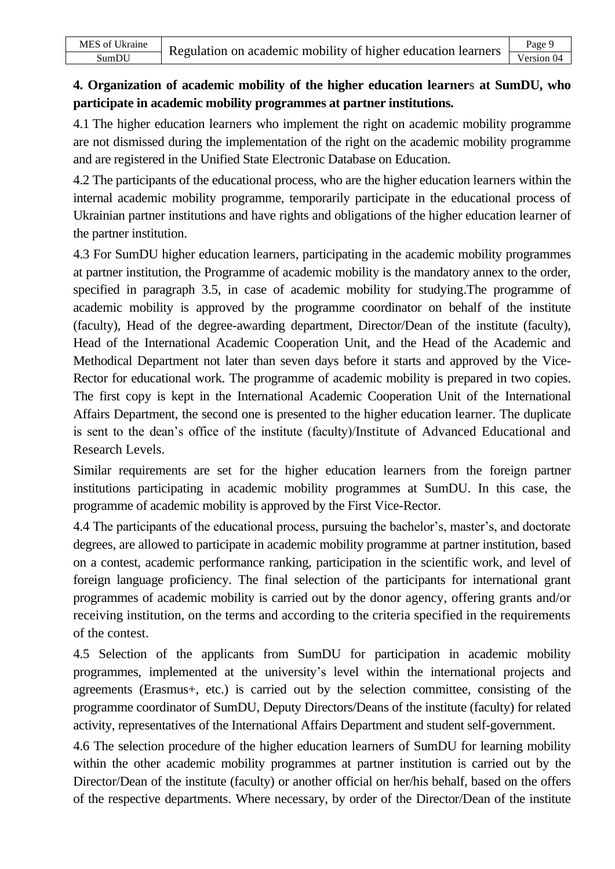## **4. Organization of academic mobility of the higher education learner**s **at SumDU, who participate in academic mobility programmes at partner institutions.**

4.1 The higher education learners who implement the right on academic mobility programme are not dismissed during the implementation of the right on the academic mobility programme and are registered in the Unified State Electronic Database on Education.

4.2 The participants of the educational process, who are the higher education learners within the internal academic mobility programme, temporarily participate in the educational process of Ukrainian partner institutions and have rights and obligations of the higher education learner of the partner institution.

4.3 For SumDU higher education learners, participating in the academic mobility programmes at partner institution, the Programme of academic mobility is the mandatory annex to the order, specified in paragraph 3.5, in case of academic mobility for studying.The programme of academic mobility is approved by the programme coordinator on behalf of the institute (faculty), Head of the degree-awarding department, Director/Dean of the institute (faculty), Head of the International Academic Cooperation Unit, and the Head of the Academic and Methodical Department not later than seven days before it starts and approved by the Vice-Rector for educational work. The programme of academic mobility is prepared in two copies. The first copy is kept in the International Academic Cooperation Unit of the International Affairs Department, the second one is presented to the higher education learner. The duplicate is sent to the dean's office of the institute (faculty)/Institute of Advanced Educational and Research Levels.

Similar requirements are set for the higher education learners from the foreign partner institutions participating in academic mobility programmes at SumDU. In this case, the programme of academic mobility is approved by the First Vice-Rector.

4.4 The participants of the educational process, pursuing the bachelor's, master's, and doctorate degrees, are allowed to participate in academic mobility programme at partner institution, based on a contest, academic performance ranking, participation in the scientific work, and level of foreign language proficiency. The final selection of the participants for international grant programmes of academic mobility is carried out by the donor agency, offering grants and/or receiving institution, on the terms and according to the criteria specified in the requirements of the contest.

4.5 Selection of the applicants from SumDU for participation in academic mobility programmes, implemented at the university's level within the international projects and agreements (Erasmus+, etc.) is carried out by the selection committee, consisting of the programme coordinator of SumDU, Deputy Directors/Deans of the institute (faculty) for related activity, representatives of the International Affairs Department and student self-government.

4.6 The selection procedure of the higher education learners of SumDU for learning mobility within the other academic mobility programmes at partner institution is carried out by the Director/Dean of the institute (faculty) or another official on her/his behalf, based on the offers of the respective departments. Where necessary, by order of the Director/Dean of the institute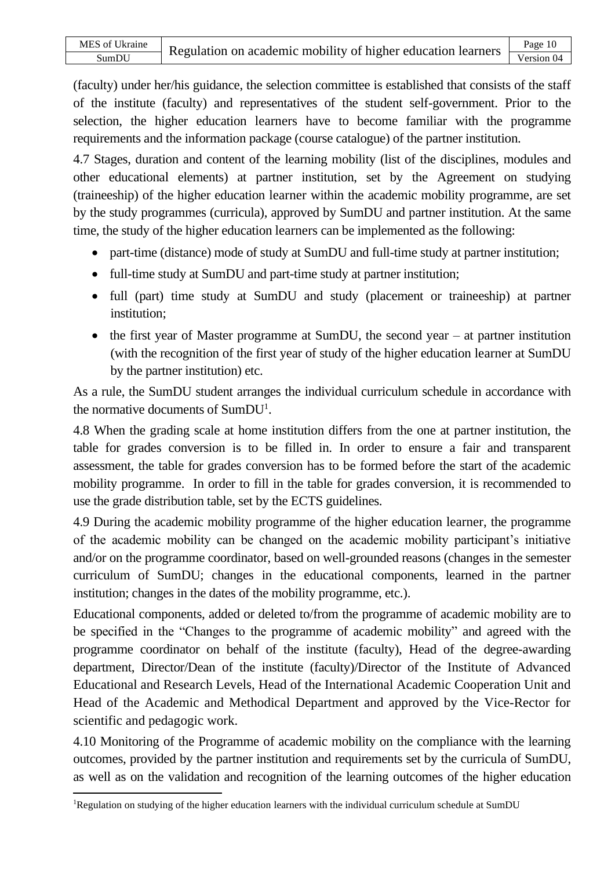(faculty) under her/his guidance, the selection committee is established that consists of the staff of the institute (faculty) and representatives of the student self-government. Prior to the selection, the higher education learners have to become familiar with the programme requirements and the information package (course catalogue) of the partner institution.

4.7 Stages, duration and content of the learning mobility (list of the disciplines, modules and other educational elements) at partner institution, set by the Agreement on studying (traineeship) of the higher education learner within the academic mobility programme, are set by the study programmes (curricula), approved by SumDU and partner institution. At the same time, the study of the higher education learners can be implemented as the following:

- part-time (distance) mode of study at SumDU and full-time study at partner institution;
- full-time study at SumDU and part-time study at partner institution;
- full (part) time study at SumDU and study (placement or traineeship) at partner institution;
- the first year of Master programme at SumDU, the second year  $-$  at partner institution (with the recognition of the first year of study of the higher education learner at SumDU by the partner institution) etc.

As a rule, the SumDU student arranges the individual curriculum schedule in accordance with the normative documents of SumDU<sup>1</sup>.

4.8 When the grading scale at home institution differs from the one at partner institution, the table for grades conversion is to be filled in. In order to ensure a fair and transparent assessment, the table for grades conversion has to be formed before the start of the academic mobility programme. In order to fill in the table for grades conversion, it is recommended to use the grade distribution table, set by the ECTS guidelines.

4.9 During the academic mobility programme of the higher education learner, the programme of the academic mobility can be changed on the academic mobility participant's initiative and/or on the programme coordinator, based on well-grounded reasons (changes in the semester curriculum of SumDU; changes in the educational components, learned in the partner institution; changes in the dates of the mobility programme, etc.).

Educational components, added or deleted to/from the programme of academic mobility are to be specified in the "Changes to the programme of academic mobility" and agreed with the programme coordinator on behalf of the institute (faculty), Head of the degree-awarding department, Director/Dean of the institute (faculty)/Director of the Institute of Advanced Educational and Research Levels, Head of the International Academic Cooperation Unit and Head of the Academic and Methodical Department and approved by the Vice-Rector for scientific and pedagogic work.

4.10 Monitoring of the Programme of academic mobility on the compliance with the learning outcomes, provided by the partner institution and requirements set by the curricula of SumDU, as well as on the validation and recognition of the learning outcomes of the higher education

<sup>1</sup>Regulation on studying of the higher education learners with the individual curriculum schedule at SumDU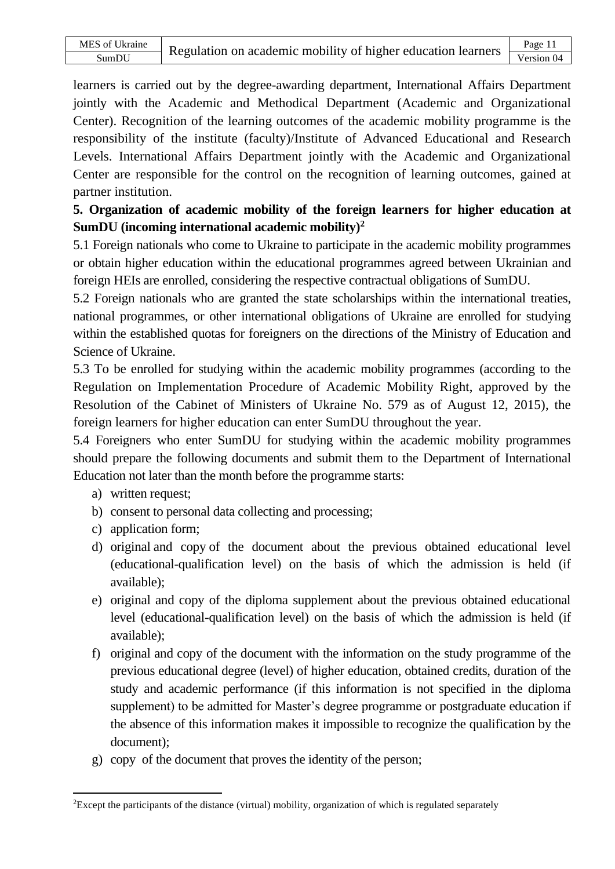learners is carried out by the degree-awarding department, International Affairs Department jointly with the Academic and Methodical Department (Academic and Organizational Center). Recognition of the learning outcomes of the academic mobility programme is the responsibility of the institute (faculty)/Institute of Advanced Educational and Research Levels. International Affairs Department jointly with the Academic and Organizational Center are responsible for the control on the recognition of learning outcomes, gained at partner institution.

**5. Organization of academic mobility of the foreign learners for higher education at SumDU (incoming international academic mobility)<sup>2</sup>**

5.1 Foreign nationals who come to Ukraine to participate in the academic mobility programmes or obtain higher education within the educational programmes agreed between Ukrainian and foreign HEIs are enrolled, considering the respective contractual obligations of SumDU.

5.2 Foreign nationals who are granted the state scholarships within the international treaties, national programmes, or other international obligations of Ukraine are enrolled for studying within the established quotas for foreigners on the directions of the Ministry of Education and Science of Ukraine.

5.3 To be enrolled for studying within the academic mobility programmes (according to the Regulation on Implementation Procedure of Academic Mobility Right, approved by the Resolution of the Cabinet of Ministers of Ukraine No. 579 as of August 12, 2015), the foreign learners for higher education can enter SumDU throughout the year.

5.4 Foreigners who enter SumDU for studying within the academic mobility programmes should prepare the following documents and submit them to the Department of International Education not later than the month before the programme starts:

- a) written request;
- b) consent to personal data collecting and processing;
- c) application form;
- d) original and copy of the document about the previous obtained educational level (educational-qualification level) on the basis of which the admission is held (if available);
- e) original and copy of the diploma supplement about the previous obtained educational level (educational-qualification level) on the basis of which the admission is held (if available);
- f) original and copy of the document with the information on the study programme of the previous educational degree (level) of higher education, obtained credits, duration of the study and academic performance (if this information is not specified in the diploma supplement) to be admitted for Master's degree programme or postgraduate education if the absence of this information makes it impossible to recognize the qualification by the document);
- g) copy of the document that proves the identity of the person;

<sup>2</sup>Except the participants of the distance (virtual) mobility, organization of which is regulated separately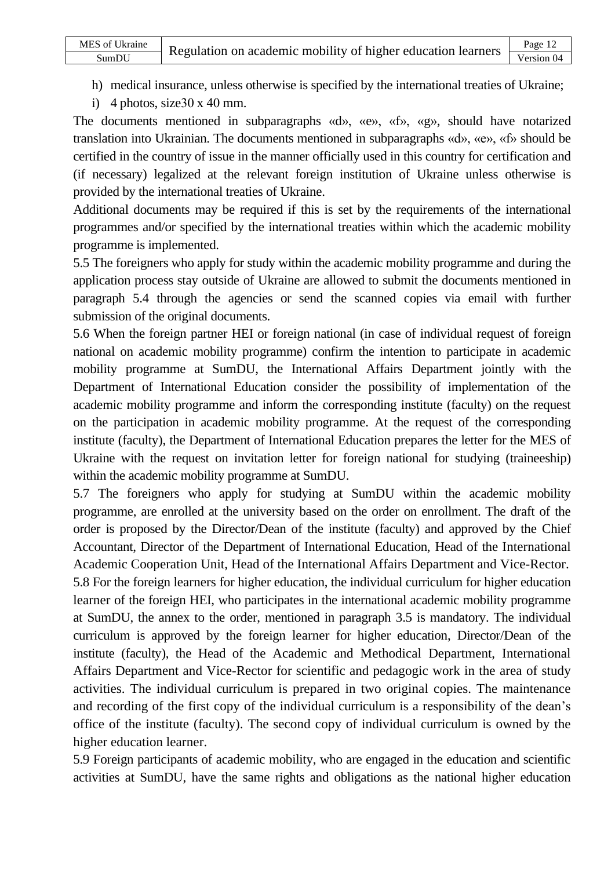- h) medical insurance, unless otherwise is specified by the international treaties of Ukraine;
- i) 4 photos, size  $30 \times 40$  mm.

The documents mentioned in subparagraphs «d», «e», «f», «g», should have notarized translation into Ukrainian. The documents mentioned in subparagraphs «d», «e», «f» should be certified in the country of issue in the manner officially used in this country for certification and (if necessary) legalized at the relevant foreign institution of Ukraine unless otherwise is provided by the international treaties of Ukraine.

Additional documents may be required if this is set by the requirements of the international programmes and/or specified by the international treaties within which the academic mobility programme is implemented.

5.5 The foreigners who apply for study within the academic mobility programme and during the application process stay outside of Ukraine are allowed to submit the documents mentioned in paragraph 5.4 through the agencies or send the scanned copies via email with further submission of the original documents.

5.6 When the foreign partner HEI or foreign national (in case of individual request of foreign national on academic mobility programme) confirm the intention to participate in academic mobility programme at SumDU, the International Affairs Department jointly with the Department of International Education consider the possibility of implementation of the academic mobility programme and inform the corresponding institute (faculty) on the request on the participation in academic mobility programme. At the request of the corresponding institute (faculty), the Department of International Education prepares the letter for the MES of Ukraine with the request on invitation letter for foreign national for studying (traineeship) within the academic mobility programme at SumDU.

5.7 The foreigners who apply for studying at SumDU within the academic mobility programme, are enrolled at the university based on the order on enrollment. The draft of the order is proposed by the Director/Dean of the institute (faculty) and approved by the Chief Accountant, Director of the Department of International Education, Head of the International Academic Cooperation Unit, Head of the International Affairs Department and Vice-Rector.

5.8 For the foreign learners for higher education, the individual curriculum for higher education learner of the foreign HEI, who participates in the international academic mobility programme at SumDU, the annex to the order, mentioned in paragraph 3.5 is mandatory. The individual curriculum is approved by the foreign learner for higher education, Director/Dean of the institute (faculty), the Head of the Academic and Methodical Department, International Affairs Department and Vice-Rector for scientific and pedagogic work in the area of study activities. The individual curriculum is prepared in two original copies. The maintenance and recording of the first copy of the individual curriculum is a responsibility of the dean's office of the institute (faculty). The second copy of individual curriculum is owned by the higher education learner.

5.9 Foreign participants of academic mobility, who are engaged in the education and scientific activities at SumDU, have the same rights and obligations as the national higher education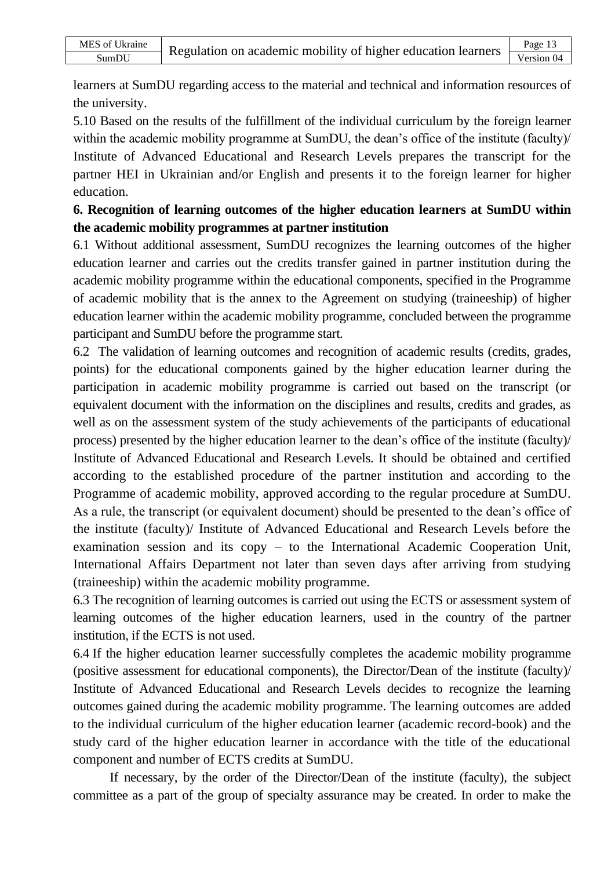learners at SumDU regarding access to the material and technical and information resources of the university.

5.10 Based on the results of the fulfillment of the individual curriculum by the foreign learner within the academic mobility programme at SumDU, the dean's office of the institute (faculty) Institute of Advanced Educational and Research Levels prepares the transcript for the partner HEI in Ukrainian and/or English and presents it to the foreign learner for higher education.

## **6. Recognition of learning outcomes of the higher education learners at SumDU within the academic mobility programmes at partner institution**

6.1 Without additional assessment, SumDU recognizes the learning outcomes of the higher education learner and carries out the credits transfer gained in partner institution during the academic mobility programme within the educational components, specified in the Programme of academic mobility that is the annex to the Agreement on studying (traineeship) of higher education learner within the academic mobility programme, concluded between the programme participant and SumDU before the programme start.

6.2 The validation of learning outcomes and recognition of academic results (credits, grades, points) for the educational components gained by the higher education learner during the participation in academic mobility programme is carried out based on the transcript (or equivalent document with the information on the disciplines and results, credits and grades, as well as on the assessment system of the study achievements of the participants of educational process) presented by the higher education learner to the dean's office of the institute (faculty)/ Institute of Advanced Educational and Research Levels. It should be obtained and certified according to the established procedure of the partner institution and according to the Programme of academic mobility, approved according to the regular procedure at SumDU. As a rule, the transcript (or equivalent document) should be presented to the dean's office of the institute (faculty)/ Institute of Advanced Educational and Research Levels before the examination session and its copy – to the International Academic Cooperation Unit, International Affairs Department not later than seven days after arriving from studying (traineeship) within the academic mobility programme.

6.3 The recognition of learning outcomes is carried out using the ECTS or assessment system of learning outcomes of the higher education learners, used in the country of the partner institution, if the ECTS is not used.

6.4 If the higher education learner successfully completes the academic mobility programme (positive assessment for educational components), the Director/Dean of the institute (faculty)/ Institute of Advanced Educational and Research Levels decides to recognize the learning outcomes gained during the academic mobility programme. The learning outcomes are added to the individual curriculum of the higher education learner (academic record-book) and the study card of the higher education learner in accordance with the title of the educational component and number of ECTS credits at SumDU.

If necessary, by the order of the Director/Dean of the institute (faculty), the subject committee as a part of the group of specialty assurance may be created. In order to make the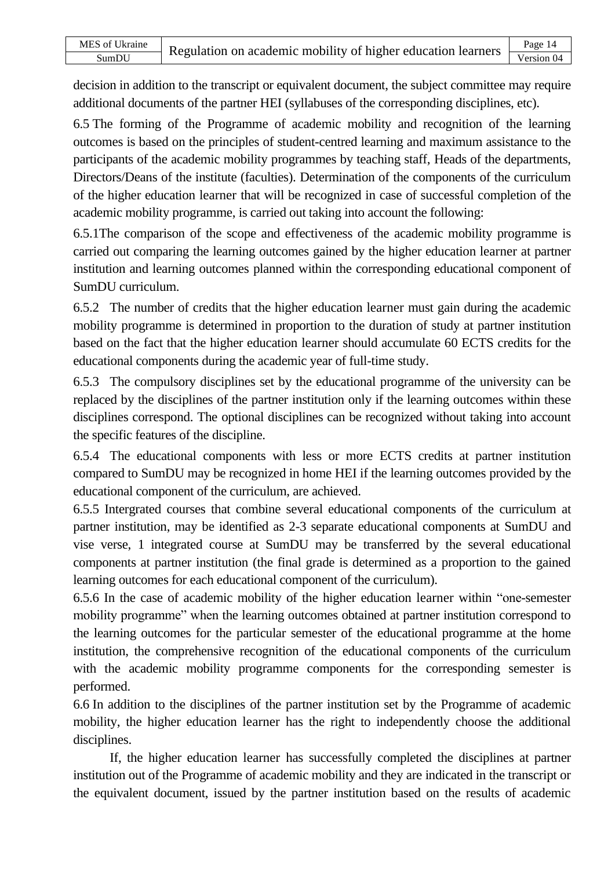decision in addition to the transcript or equivalent document, the subject committee may require additional documents of the partner HEI (syllabuses of the corresponding disciplines, etc).

6.5 The forming of the Programme of academic mobility and recognition of the learning outcomes is based on the principles of student-centred learning and maximum assistance to the participants of the academic mobility programmes by teaching staff, Heads of the departments, Directors/Deans of the institute (faculties). Determination of the components of the curriculum of the higher education learner that will be recognized in case of successful completion of the academic mobility programme, is carried out taking into account the following:

6.5.1The comparison of the scope and effectiveness of the academic mobility programme is carried out comparing the learning outcomes gained by the higher education learner at partner institution and learning outcomes planned within the corresponding educational component of SumDU curriculum.

6.5.2 The number of credits that the higher education learner must gain during the academic mobility programme is determined in proportion to the duration of study at partner institution based on the fact that the higher education learner should accumulate 60 ECTS credits for the educational components during the academic year of full-time study.

6.5.3 The compulsory disciplines set by the educational programme of the university can be replaced by the disciplines of the partner institution only if the learning outcomes within these disciplines correspond. The optional disciplines can be recognized without taking into account the specific features of the discipline.

6.5.4 The educational components with less or more ECTS credits at partner institution compared to SumDU may be recognized in home HEI if the learning outcomes provided by the educational component of the curriculum, are achieved.

6.5.5 Intergrated courses that combine several educational components of the curriculum at partner institution, may be identified as 2-3 separate educational components at SumDU and vise verse, 1 integrated course at SumDU may be transferred by the several educational components at partner institution (the final grade is determined as a proportion to the gained learning outcomes for each educational component of the curriculum).

6.5.6 In the case of academic mobility of the higher education learner within "one-semester mobility programme" when the learning outcomes obtained at partner institution correspond to the learning outcomes for the particular semester of the educational programme at the home institution, the comprehensive recognition of the educational components of the curriculum with the academic mobility programme components for the corresponding semester is performed.

6.6 In addition to the disciplines of the partner institution set by the Programme of academic mobility, the higher education learner has the right to independently choose the additional disciplines.

If, the higher education learner has successfully completed the disciplines at partner institution out of the Programme of academic mobility and they are indicated in the transcript or the equivalent document, issued by the partner institution based on the results of academic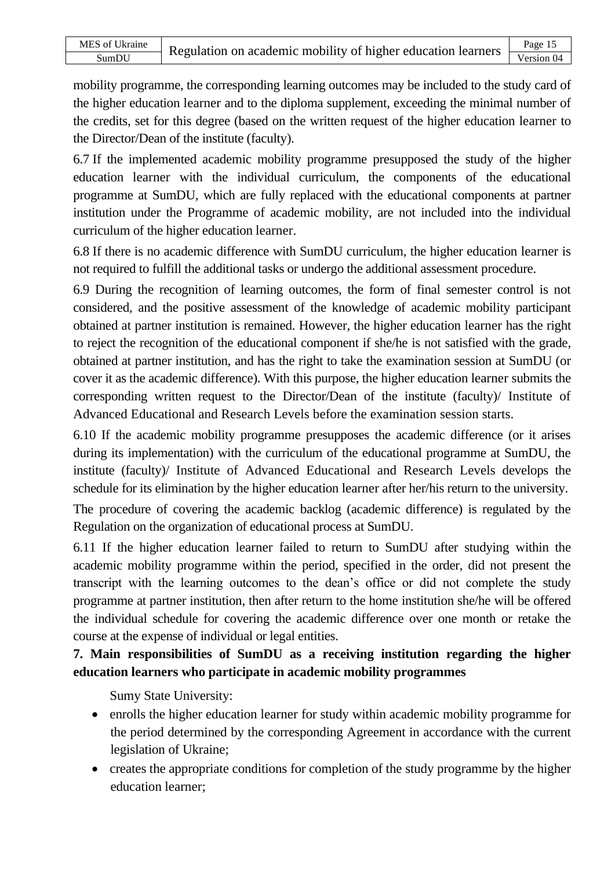mobility programme, the corresponding learning outcomes may be included to the study card of the higher education learner and to the diploma supplement, exceeding the minimal number of the credits, set for this degree (based on the written request of the higher education learner to the Director/Dean of the institute (faculty).

6.7 If the implemented academic mobility programme presupposed the study of the higher education learner with the individual curriculum, the components of the educational programme at SumDU, which are fully replaced with the educational components at partner institution under the Programme of academic mobility, are not included into the individual curriculum of the higher education learner.

6.8 If there is no academic difference with SumDU curriculum, the higher education learner is not required to fulfill the additional tasks or undergo the additional assessment procedure.

6.9 During the recognition of learning outcomes, the form of final semester control is not considered, and the positive assessment of the knowledge of academic mobility participant obtained at partner institution is remained. However, the higher education learner has the right to reject the recognition of the educational component if she/he is not satisfied with the grade, obtained at partner institution, and has the right to take the examination session at SumDU (or cover it as the academic difference). With this purpose, the higher education learner submits the corresponding written request to the Director/Dean of the institute (faculty)/ Institute of Advanced Educational and Research Levels before the examination session starts.

6.10 If the academic mobility programme presupposes the academic difference (or it arises during its implementation) with the curriculum of the educational programme at SumDU, the institute (faculty)/ Institute of Advanced Educational and Research Levels develops the schedule for its elimination by the higher education learner after her/his return to the university.

The procedure of covering the academic backlog (academic difference) is regulated by the Regulation on the organization of educational process at SumDU.

6.11 If the higher education learner failed to return to SumDU after studying within the academic mobility programme within the period, specified in the order, did not present the transcript with the learning outcomes to the dean's office or did not complete the study programme at partner institution, then after return to the home institution she/he will be offered the individual schedule for covering the academic difference over one month or retake the course at the expense of individual or legal entities.

**7. Main responsibilities of SumDU as a receiving institution regarding the higher education learners who participate in academic mobility programmes** 

Sumy State University:

- enrolls the higher education learner for study within academic mobility programme for the period determined by the corresponding Agreement in accordance with the current legislation of Ukraine;
- creates the appropriate conditions for completion of the study programme by the higher education learner;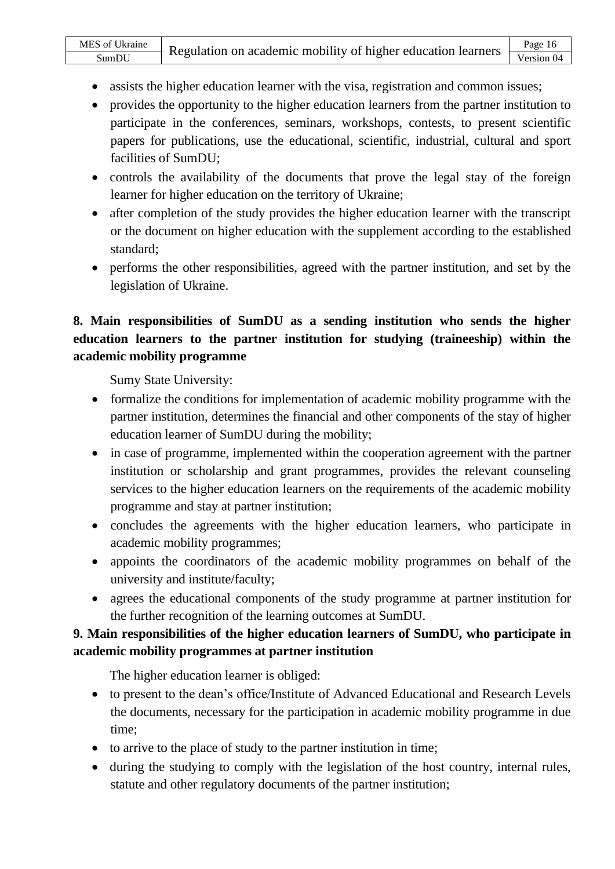- assists the higher education learner with the visa, registration and common issues;
- provides the opportunity to the higher education learners from the partner institution to participate in the conferences, seminars, workshops, contests, to present scientific papers for publications, use the educational, scientific, industrial, cultural and sport facilities of SumDU;
- controls the availability of the documents that prove the legal stay of the foreign learner for higher education on the territory of Ukraine;
- after completion of the study provides the higher education learner with the transcript or the document on higher education with the supplement according to the established standard;
- performs the other responsibilities, agreed with the partner institution, and set by the legislation of Ukraine.

## **8. Main responsibilities of SumDU as a sending institution who sends the higher education learners to the partner institution for studying (traineeship) within the academic mobility programme**

Sumy State University:

- formalize the conditions for implementation of academic mobility programme with the partner institution, determines the financial and other components of the stay of higher education learner of SumDU during the mobility;
- in case of programme, implemented within the cooperation agreement with the partner institution or scholarship and grant programmes, provides the relevant counseling services to the higher education learners on the requirements of the academic mobility programme and stay at partner institution;
- concludes the agreements with the higher education learners, who participate in academic mobility programmes;
- appoints the coordinators of the academic mobility programmes on behalf of the university and institute/faculty;
- agrees the educational components of the study programme at partner institution for the further recognition of the learning outcomes at SumDU.

## **9. Main responsibilities of the higher education learners of SumDU, who participate in academic mobility programmes at partner institution**

The higher education learner is obliged:

- to present to the dean's office/Institute of Advanced Educational and Research Levels the documents, necessary for the participation in academic mobility programme in due time;
- to arrive to the place of study to the partner institution in time;
- during the studying to comply with the legislation of the host country, internal rules, statute and other regulatory documents of the partner institution;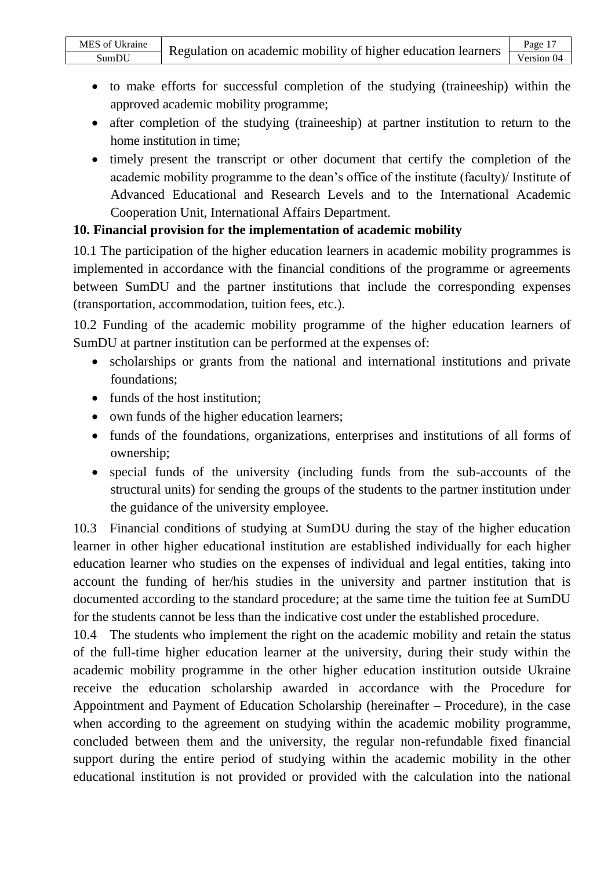- to make efforts for successful completion of the studying (traineeship) within the approved academic mobility programme;
- after completion of the studying (traineeship) at partner institution to return to the home institution in time;
- timely present the transcript or other document that certify the completion of the academic mobility programme to the dean's office of the institute (faculty)/ Institute of Advanced Educational and Research Levels and to the International Academic Cooperation Unit, International Affairs Department.

## **10. Financial provision for the implementation of academic mobility**

10.1 The participation of the higher education learners in academic mobility programmes is implemented in accordance with the financial conditions of the programme or agreements between SumDU and the partner institutions that include the corresponding expenses (transportation, accommodation, tuition fees, etc.).

10.2 Funding of the academic mobility programme of the higher education learners of SumDU at partner institution can be performed at the expenses of:

- scholarships or grants from the national and international institutions and private foundations;
- funds of the host institution;
- own funds of the higher education learners;
- funds of the foundations, organizations, enterprises and institutions of all forms of ownership;
- special funds of the university (including funds from the sub-accounts of the structural units) for sending the groups of the students to the partner institution under the guidance of the university employee.

10.3 Financial conditions of studying at SumDU during the stay of the higher education learner in other higher educational institution are established individually for each higher education learner who studies on the expenses of individual and legal entities, taking into account the funding of her/his studies in the university and partner institution that is documented according to the standard procedure; at the same time the tuition fee at SumDU for the students cannot be less than the indicative cost under the established procedure.

10.4 The students who implement the right on the academic mobility and retain the status of the full-time higher education learner at the university, during their study within the academic mobility programme in the other higher education institution outside Ukraine receive the education scholarship awarded in accordance with the Procedure for Appointment and Payment of Education Scholarship (hereinafter – Procedure), in the case when according to the agreement on studying within the academic mobility programme, concluded between them and the university, the regular non-refundable fixed financial support during the entire period of studying within the academic mobility in the other educational institution is not provided or provided with the calculation into the national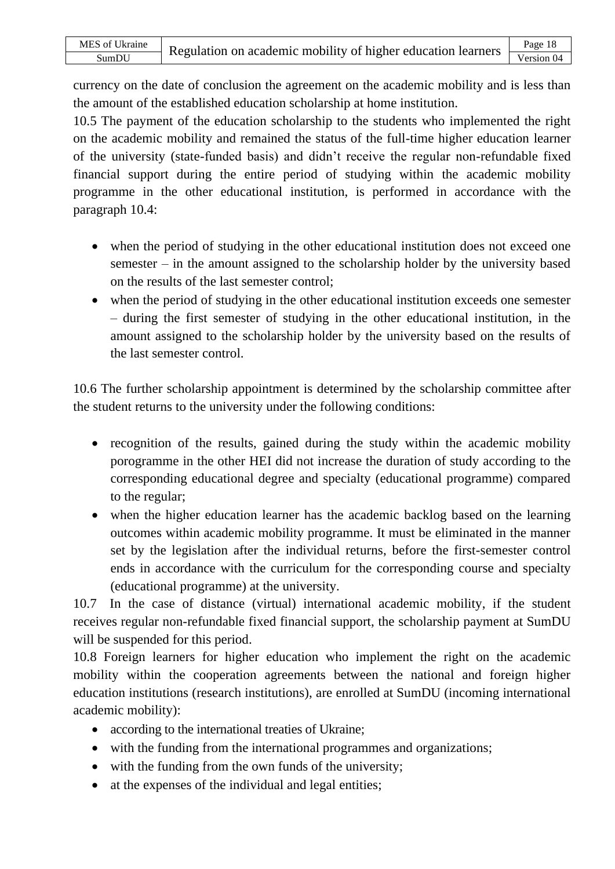currency on the date of conclusion the agreement on the academic mobility and is less than the amount of the established education scholarship at home institution.

10.5 The payment of the education scholarship to the students who implemented the right on the academic mobility and remained the status of the full-time higher education learner of the university (state-funded basis) and didn't receive the regular non-refundable fixed financial support during the entire period of studying within the academic mobility programme in the other educational institution, is performed in accordance with the paragraph 10.4:

- when the period of studying in the other educational institution does not exceed one semester – in the amount assigned to the scholarship holder by the university based on the results of the last semester control;
- when the period of studying in the other educational institution exceeds one semester – during the first semester of studying in the other educational institution, in the amount assigned to the scholarship holder by the university based on the results of the last semester control.

10.6 The further scholarship appointment is determined by the scholarship committee after the student returns to the university under the following conditions:

- recognition of the results, gained during the study within the academic mobility porogramme in the other HEI did not increase the duration of study according to the corresponding educational degree and specialty (educational programme) compared to the regular;
- when the higher education learner has the academic backlog based on the learning outcomes within academic mobility programme. It must be eliminated in the manner set by the legislation after the individual returns, before the first-semester control ends in accordance with the curriculum for the corresponding course and specialty (educational programme) at the university.

10.7 In the case of distance (virtual) international academic mobility, if the student receives regular non-refundable fixed financial support, the scholarship payment at SumDU will be suspended for this period.

10.8 Foreign learners for higher education who implement the right on the academic mobility within the cooperation agreements between the national and foreign higher education institutions (research institutions), are enrolled at SumDU (incoming international academic mobility):

- according to the international treaties of Ukraine;
- with the funding from the international programmes and organizations;
- with the funding from the own funds of the university;
- at the expenses of the individual and legal entities;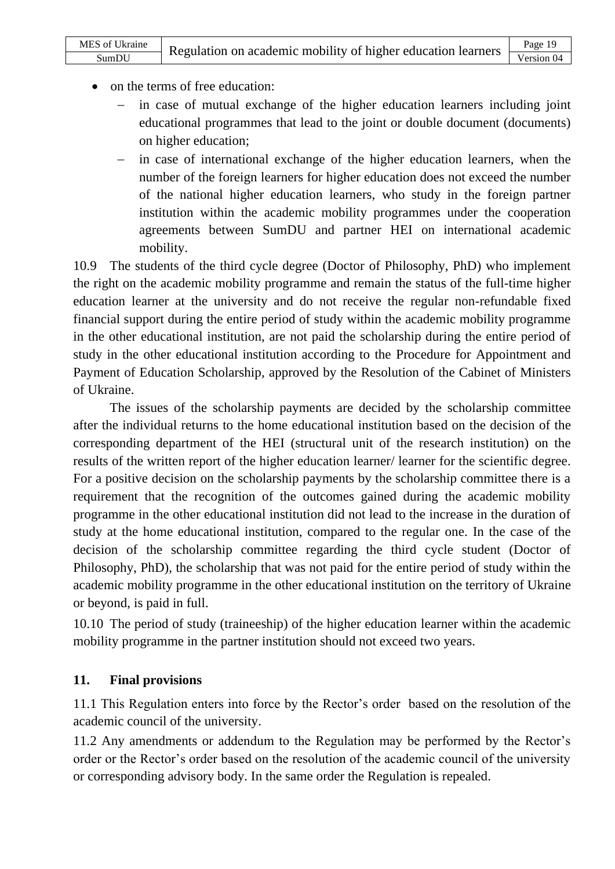- on the terms of free education:
	- in case of mutual exchange of the higher education learners including joint educational programmes that lead to the joint or double document (documents) on higher education;
	- in case of international exchange of the higher education learners, when the number of the foreign learners for higher education does not exceed the number of the national higher education learners, who study in the foreign partner institution within the academic mobility programmes under the cooperation agreements between SumDU and partner HEI on international academic mobility.

10.9 The students of the third cycle degree (Doctor of Philosophy, PhD) who implement the right on the academic mobility programme and remain the status of the full-time higher education learner at the university and do not receive the regular non-refundable fixed financial support during the entire period of study within the academic mobility programme in the other educational institution, are not paid the scholarship during the entire period of study in the other educational institution according to the Procedure for Appointment and Payment of Education Scholarship, approved by the Resolution of the Cabinet of Ministers of Ukraine.

 The issues of the scholarship payments are decided by the scholarship committee after the individual returns to the home educational institution based on the decision of the corresponding department of the HEI (structural unit of the research institution) on the results of the written report of the higher education learner/ learner for the scientific degree. For a positive decision on the scholarship payments by the scholarship committee there is a requirement that the recognition of the outcomes gained during the academic mobility programme in the other educational institution did not lead to the increase in the duration of study at the home educational institution, compared to the regular one. In the case of the decision of the scholarship committee regarding the third cycle student (Doctor of Philosophy, PhD), the scholarship that was not paid for the entire period of study within the academic mobility programme in the other educational institution on the territory of Ukraine or beyond, is paid in full.

10.10 The period of study (traineeship) of the higher education learner within the academic mobility programme in the partner institution should not exceed two years.

### **11. Final provisions**

11.1 This Regulation enters into force by the Rector's order based on the resolution of the academic council of the university.

11.2 Any amendments or addendum to the Regulation may be performed by the Rector's order or the Rector's order based on the resolution of the academic council of the university or corresponding advisory body. In the same order the Regulation is repealed.